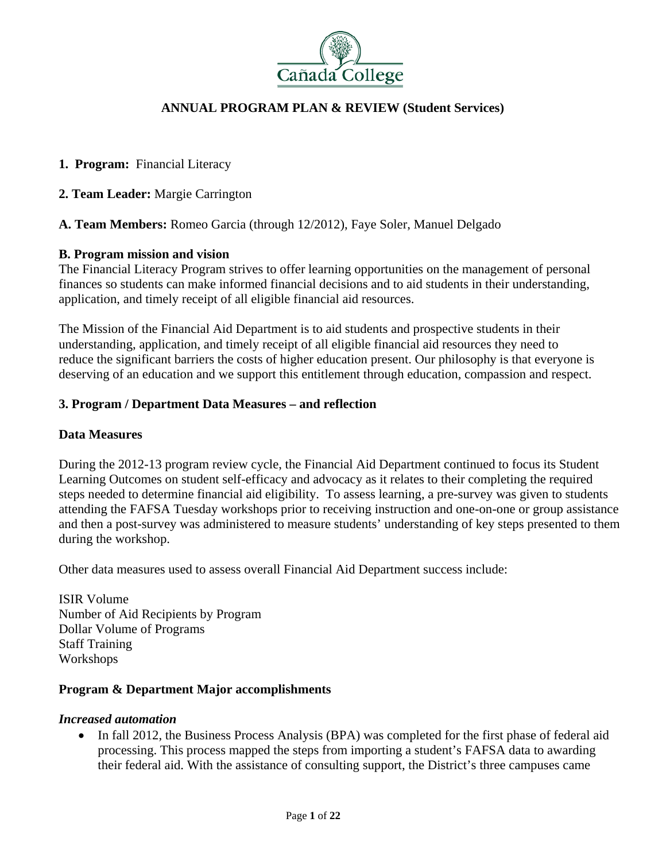

- **1. Program:** Financial Literacy
- **2. Team Leader:** Margie Carrington

## **A. Team Members:** Romeo Garcia (through 12/2012), Faye Soler, Manuel Delgado

#### **B. Program mission and vision**

The Financial Literacy Program strives to offer learning opportunities on the management of personal finances so students can make informed financial decisions and to aid students in their understanding, application, and timely receipt of all eligible financial aid resources.

The Mission of the Financial Aid Department is to aid students and prospective students in their understanding, application, and timely receipt of all eligible financial aid resources they need to reduce the significant barriers the costs of higher education present. Our philosophy is that everyone is deserving of an education and we support this entitlement through education, compassion and respect.

#### **3. Program / Department Data Measures – and reflection**

#### **Data Measures**

During the 2012-13 program review cycle, the Financial Aid Department continued to focus its Student Learning Outcomes on student self-efficacy and advocacy as it relates to their completing the required steps needed to determine financial aid eligibility. To assess learning, a pre-survey was given to students attending the FAFSA Tuesday workshops prior to receiving instruction and one-on-one or group assistance and then a post-survey was administered to measure students' understanding of key steps presented to them during the workshop.

Other data measures used to assess overall Financial Aid Department success include:

ISIR Volume Number of Aid Recipients by Program Dollar Volume of Programs Staff Training Workshops

#### **Program & Department Major accomplishments**

#### *Increased automation*

 In fall 2012, the Business Process Analysis (BPA) was completed for the first phase of federal aid processing. This process mapped the steps from importing a student's FAFSA data to awarding their federal aid. With the assistance of consulting support, the District's three campuses came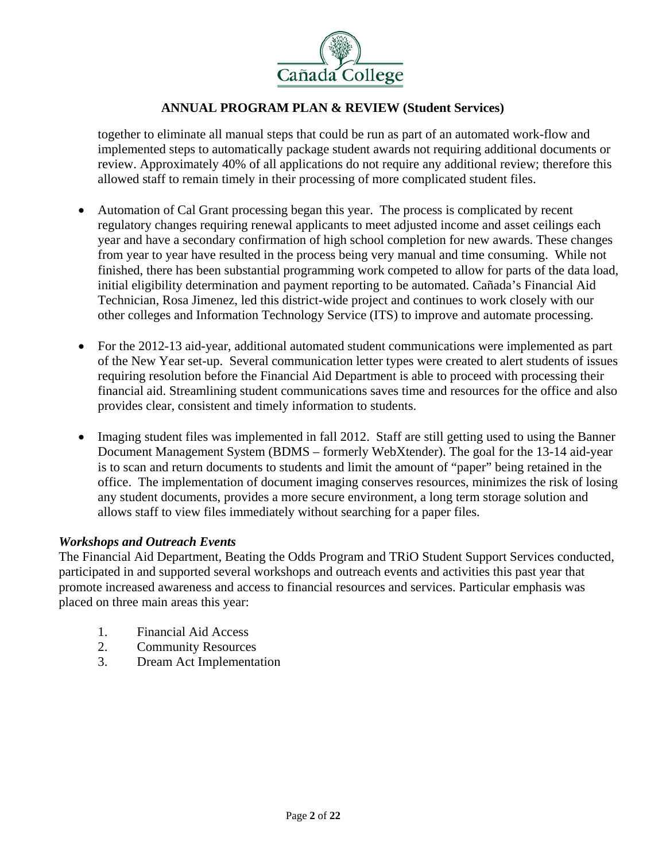

together to eliminate all manual steps that could be run as part of an automated work-flow and implemented steps to automatically package student awards not requiring additional documents or review. Approximately 40% of all applications do not require any additional review; therefore this allowed staff to remain timely in their processing of more complicated student files.

- Automation of Cal Grant processing began this year. The process is complicated by recent regulatory changes requiring renewal applicants to meet adjusted income and asset ceilings each year and have a secondary confirmation of high school completion for new awards. These changes from year to year have resulted in the process being very manual and time consuming. While not finished, there has been substantial programming work competed to allow for parts of the data load, initial eligibility determination and payment reporting to be automated. Cañada's Financial Aid Technician, Rosa Jimenez, led this district-wide project and continues to work closely with our other colleges and Information Technology Service (ITS) to improve and automate processing.
- For the 2012-13 aid-year, additional automated student communications were implemented as part of the New Year set-up. Several communication letter types were created to alert students of issues requiring resolution before the Financial Aid Department is able to proceed with processing their financial aid. Streamlining student communications saves time and resources for the office and also provides clear, consistent and timely information to students.
- Imaging student files was implemented in fall 2012. Staff are still getting used to using the Banner Document Management System (BDMS – formerly WebXtender). The goal for the 13-14 aid-year is to scan and return documents to students and limit the amount of "paper" being retained in the office. The implementation of document imaging conserves resources, minimizes the risk of losing any student documents, provides a more secure environment, a long term storage solution and allows staff to view files immediately without searching for a paper files.

## *Workshops and Outreach Events*

The Financial Aid Department, Beating the Odds Program and TRiO Student Support Services conducted, participated in and supported several workshops and outreach events and activities this past year that promote increased awareness and access to financial resources and services. Particular emphasis was placed on three main areas this year:

- 1. Financial Aid Access
- 2. Community Resources
- 3. Dream Act Implementation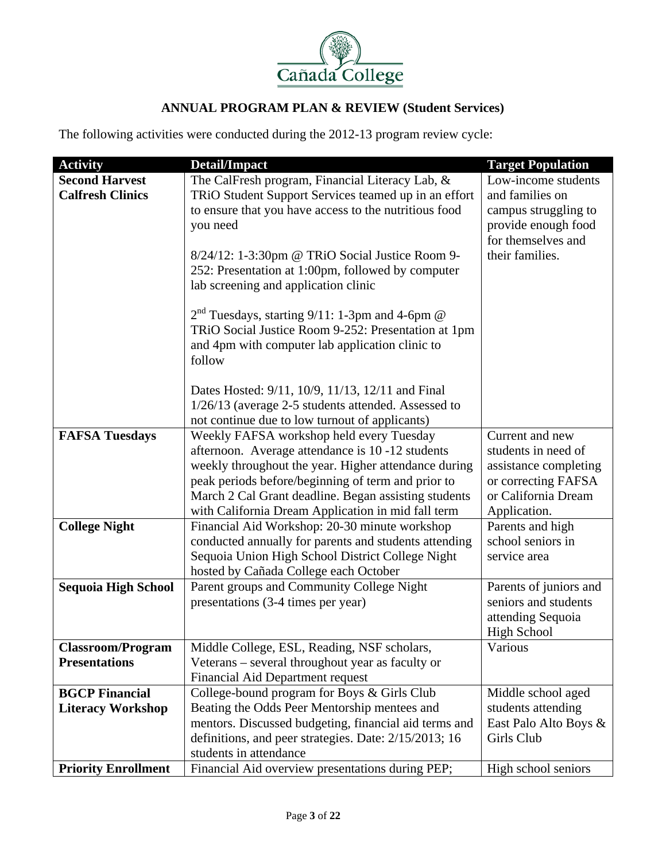

The following activities were conducted during the 2012-13 program review cycle:

| <b>Activity</b>                                  | <b>Detail/Impact</b>                                                                                                                                                                                                                                                                                                     | <b>Target Population</b>                                                                                                      |  |  |  |  |  |  |
|--------------------------------------------------|--------------------------------------------------------------------------------------------------------------------------------------------------------------------------------------------------------------------------------------------------------------------------------------------------------------------------|-------------------------------------------------------------------------------------------------------------------------------|--|--|--|--|--|--|
| <b>Second Harvest</b><br><b>Calfresh Clinics</b> | The CalFresh program, Financial Literacy Lab, &<br>TRiO Student Support Services teamed up in an effort<br>to ensure that you have access to the nutritious food<br>you need                                                                                                                                             | Low-income students<br>and families on<br>campus struggling to<br>provide enough food<br>for themselves and                   |  |  |  |  |  |  |
|                                                  | 8/24/12: 1-3:30pm @ TRiO Social Justice Room 9-<br>252: Presentation at 1:00pm, followed by computer<br>lab screening and application clinic                                                                                                                                                                             | their families.                                                                                                               |  |  |  |  |  |  |
|                                                  | $2nd$ Tuesdays, starting 9/11: 1-3pm and 4-6pm @<br>TRiO Social Justice Room 9-252: Presentation at 1pm<br>and 4pm with computer lab application clinic to<br>follow                                                                                                                                                     |                                                                                                                               |  |  |  |  |  |  |
|                                                  | Dates Hosted: 9/11, 10/9, 11/13, 12/11 and Final<br>1/26/13 (average 2-5 students attended. Assessed to<br>not continue due to low turnout of applicants)                                                                                                                                                                |                                                                                                                               |  |  |  |  |  |  |
| <b>FAFSA Tuesdays</b>                            | Weekly FAFSA workshop held every Tuesday<br>afternoon. Average attendance is 10 -12 students<br>weekly throughout the year. Higher attendance during<br>peak periods before/beginning of term and prior to<br>March 2 Cal Grant deadline. Began assisting students<br>with California Dream Application in mid fall term | Current and new<br>students in need of<br>assistance completing<br>or correcting FAFSA<br>or California Dream<br>Application. |  |  |  |  |  |  |
| <b>College Night</b>                             | Financial Aid Workshop: 20-30 minute workshop<br>conducted annually for parents and students attending<br>Sequoia Union High School District College Night<br>hosted by Cañada College each October                                                                                                                      | Parents and high<br>school seniors in<br>service area                                                                         |  |  |  |  |  |  |
| <b>Sequoia High School</b>                       | Parent groups and Community College Night<br>presentations (3-4 times per year)                                                                                                                                                                                                                                          | Parents of juniors and<br>seniors and students<br>attending Sequoia<br><b>High School</b>                                     |  |  |  |  |  |  |
| <b>Classroom/Program</b>                         | Middle College, ESL, Reading, NSF scholars,                                                                                                                                                                                                                                                                              | Various                                                                                                                       |  |  |  |  |  |  |
| <b>Presentations</b>                             | Veterans – several throughout year as faculty or<br>Financial Aid Department request                                                                                                                                                                                                                                     |                                                                                                                               |  |  |  |  |  |  |
| <b>BGCP</b> Financial                            | College-bound program for Boys & Girls Club                                                                                                                                                                                                                                                                              | Middle school aged<br>students attending                                                                                      |  |  |  |  |  |  |
| <b>Literacy Workshop</b>                         | Beating the Odds Peer Mentorship mentees and                                                                                                                                                                                                                                                                             |                                                                                                                               |  |  |  |  |  |  |
|                                                  | mentors. Discussed budgeting, financial aid terms and                                                                                                                                                                                                                                                                    | East Palo Alto Boys &                                                                                                         |  |  |  |  |  |  |
|                                                  | definitions, and peer strategies. Date: 2/15/2013; 16<br>Girls Club<br>students in attendance                                                                                                                                                                                                                            |                                                                                                                               |  |  |  |  |  |  |
| <b>Priority Enrollment</b>                       | Financial Aid overview presentations during PEP;                                                                                                                                                                                                                                                                         | High school seniors                                                                                                           |  |  |  |  |  |  |
|                                                  |                                                                                                                                                                                                                                                                                                                          |                                                                                                                               |  |  |  |  |  |  |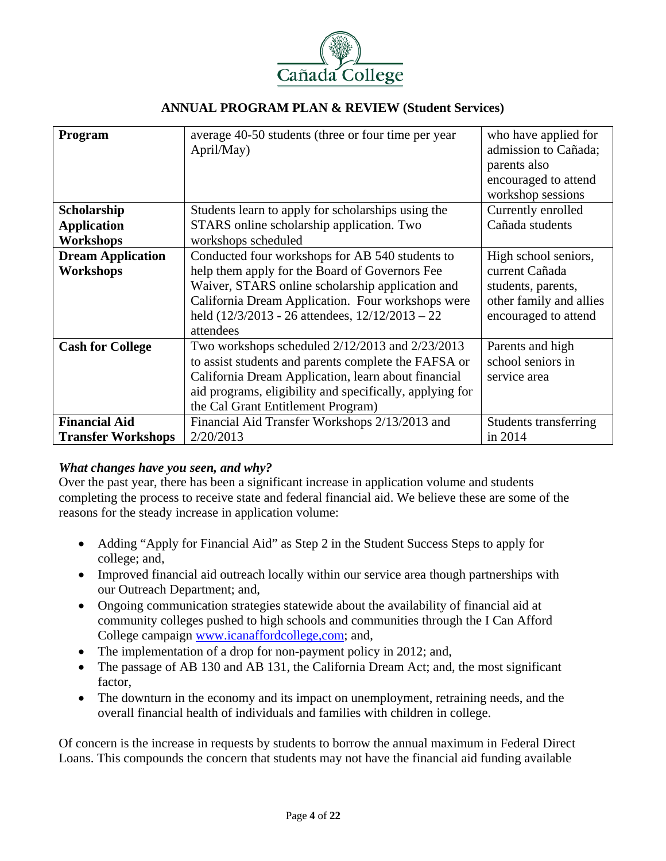

| Program                   | average 40-50 students (three or four time per year<br>April/May) | who have applied for<br>admission to Cañada;<br>parents also<br>encouraged to attend<br>workshop sessions |  |  |  |  |
|---------------------------|-------------------------------------------------------------------|-----------------------------------------------------------------------------------------------------------|--|--|--|--|
| Scholarship               | Students learn to apply for scholarships using the                | Currently enrolled                                                                                        |  |  |  |  |
| <b>Application</b>        | STARS online scholarship application. Two                         | Cañada students                                                                                           |  |  |  |  |
| Workshops                 | workshops scheduled                                               |                                                                                                           |  |  |  |  |
| <b>Dream Application</b>  | High school seniors,                                              |                                                                                                           |  |  |  |  |
| Workshops                 | help them apply for the Board of Governors Fee                    |                                                                                                           |  |  |  |  |
|                           | Waiver, STARS online scholarship application and                  | students, parents,                                                                                        |  |  |  |  |
|                           | California Dream Application. Four workshops were                 | other family and allies                                                                                   |  |  |  |  |
|                           | held $(12/3/2013 - 26$ attendees, $12/12/2013 - 22$               | encouraged to attend                                                                                      |  |  |  |  |
|                           | attendees                                                         |                                                                                                           |  |  |  |  |
| <b>Cash for College</b>   | Two workshops scheduled $2/12/2013$ and $2/23/2013$               | Parents and high                                                                                          |  |  |  |  |
|                           | to assist students and parents complete the FAFSA or              | school seniors in                                                                                         |  |  |  |  |
|                           | California Dream Application, learn about financial               | service area                                                                                              |  |  |  |  |
|                           | aid programs, eligibility and specifically, applying for          |                                                                                                           |  |  |  |  |
|                           | the Cal Grant Entitlement Program)                                |                                                                                                           |  |  |  |  |
| <b>Financial Aid</b>      | Financial Aid Transfer Workshops 2/13/2013 and                    | Students transferring                                                                                     |  |  |  |  |
| <b>Transfer Workshops</b> | 2/20/2013                                                         | in 2014                                                                                                   |  |  |  |  |

## *What changes have you seen, and why?*

Over the past year, there has been a significant increase in application volume and students completing the process to receive state and federal financial aid. We believe these are some of the reasons for the steady increase in application volume:

- Adding "Apply for Financial Aid" as Step 2 in the Student Success Steps to apply for college; and,
- Improved financial aid outreach locally within our service area though partnerships with our Outreach Department; and,
- Ongoing communication strategies statewide about the availability of financial aid at community colleges pushed to high schools and communities through the I Can Afford College campaign www.icanaffordcollege,com; and,
- The implementation of a drop for non-payment policy in 2012; and,
- The passage of AB 130 and AB 131, the California Dream Act; and, the most significant factor,
- The downturn in the economy and its impact on unemployment, retraining needs, and the overall financial health of individuals and families with children in college.

Of concern is the increase in requests by students to borrow the annual maximum in Federal Direct Loans. This compounds the concern that students may not have the financial aid funding available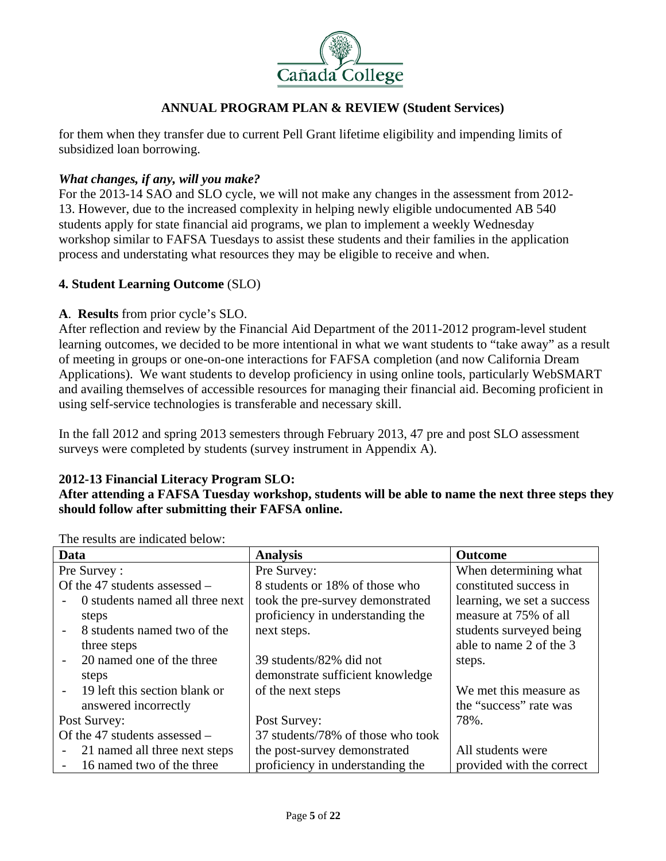

for them when they transfer due to current Pell Grant lifetime eligibility and impending limits of subsidized loan borrowing.

#### *What changes, if any, will you make?*

For the 2013-14 SAO and SLO cycle, we will not make any changes in the assessment from 2012- 13. However, due to the increased complexity in helping newly eligible undocumented AB 540 students apply for state financial aid programs, we plan to implement a weekly Wednesday workshop similar to FAFSA Tuesdays to assist these students and their families in the application process and understating what resources they may be eligible to receive and when.

#### **4. Student Learning Outcome** (SLO)

#### **A**. **Results** from prior cycle's SLO.

After reflection and review by the Financial Aid Department of the 2011-2012 program-level student learning outcomes, we decided to be more intentional in what we want students to "take away" as a result of meeting in groups or one-on-one interactions for FAFSA completion (and now California Dream Applications). We want students to develop proficiency in using online tools, particularly WebSMART and availing themselves of accessible resources for managing their financial aid. Becoming proficient in using self-service technologies is transferable and necessary skill.

In the fall 2012 and spring 2013 semesters through February 2013, 47 pre and post SLO assessment surveys were completed by students (survey instrument in Appendix A).

## **2012-13 Financial Literacy Program SLO:**

**After attending a FAFSA Tuesday workshop, students will be able to name the next three steps they should follow after submitting their FAFSA online.** 

| Data                            | <b>Analysis</b>                   | <b>Outcome</b>             |  |  |  |  |  |  |
|---------------------------------|-----------------------------------|----------------------------|--|--|--|--|--|--|
| Pre Survey:                     | Pre Survey:                       | When determining what      |  |  |  |  |  |  |
| Of the 47 students assessed $-$ | 8 students or 18% of those who    | constituted success in     |  |  |  |  |  |  |
| 0 students named all three next | took the pre-survey demonstrated  | learning, we set a success |  |  |  |  |  |  |
| steps                           | proficiency in understanding the  | measure at 75% of all      |  |  |  |  |  |  |
| 8 students named two of the     | next steps.                       | students surveyed being    |  |  |  |  |  |  |
| three steps                     |                                   | able to name 2 of the 3    |  |  |  |  |  |  |
| 20 named one of the three       | 39 students/82% did not           | steps.                     |  |  |  |  |  |  |
| steps                           | demonstrate sufficient knowledge  |                            |  |  |  |  |  |  |
| 19 left this section blank or   | of the next steps                 | We met this measure as     |  |  |  |  |  |  |
| answered incorrectly            |                                   | the "success" rate was     |  |  |  |  |  |  |
| Post Survey:                    | Post Survey:                      | 78%.                       |  |  |  |  |  |  |
| Of the 47 students assessed $-$ | 37 students/78% of those who took |                            |  |  |  |  |  |  |
| 21 named all three next steps   | the post-survey demonstrated      | All students were          |  |  |  |  |  |  |
| 16 named two of the three       | proficiency in understanding the  | provided with the correct  |  |  |  |  |  |  |

The results are indicated below: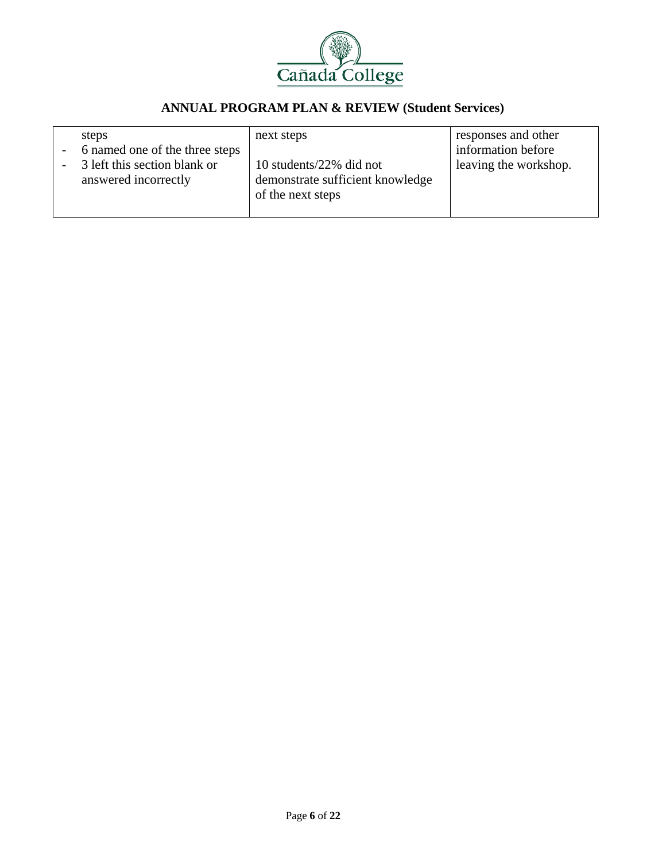

| steps                                                | next steps                                                                       | responses and other   |
|------------------------------------------------------|----------------------------------------------------------------------------------|-----------------------|
| 6 named one of the three steps                       |                                                                                  | information before    |
| 3 left this section blank or<br>answered incorrectly | 10 students/22% did not<br>demonstrate sufficient knowledge<br>of the next steps | leaving the workshop. |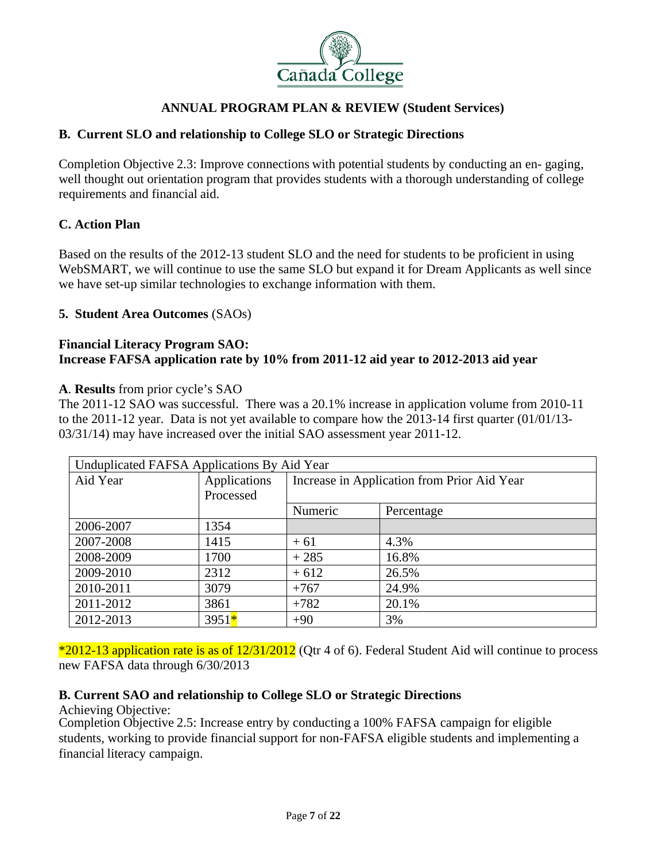

# **B. Current SLO and relationship to College SLO or Strategic Directions**

Completion Objective 2.3: Improve connections with potential students by conducting an en- gaging, well thought out orientation program that provides students with a thorough understanding of college requirements and financial aid.

# **C. Action Plan**

Based on the results of the 2012-13 student SLO and the need for students to be proficient in using WebSMART, we will continue to use the same SLO but expand it for Dream Applicants as well since we have set-up similar technologies to exchange information with them.

## **5. Student Area Outcomes** (SAOs)

#### **Financial Literacy Program SAO: Increase FAFSA application rate by 10% from 2011-12 aid year to 2012-2013 aid year**

#### **A**. **Results** from prior cycle's SAO

The 2011-12 SAO was successful. There was a 20.1% increase in application volume from 2010-11 to the 2011-12 year. Data is not yet available to compare how the 2013-14 first quarter (01/01/13- 03/31/14) may have increased over the initial SAO assessment year 2011-12.

| Unduplicated FAFSA Applications By Aid Year |              |                                             |            |  |  |  |  |
|---------------------------------------------|--------------|---------------------------------------------|------------|--|--|--|--|
| Aid Year                                    | Applications | Increase in Application from Prior Aid Year |            |  |  |  |  |
|                                             | Processed    |                                             |            |  |  |  |  |
|                                             |              | Numeric                                     | Percentage |  |  |  |  |
| 2006-2007                                   | 1354         |                                             |            |  |  |  |  |
| 2007-2008                                   | 1415         | $+61$                                       | 4.3%       |  |  |  |  |
| 2008-2009                                   | 1700         | $+285$                                      | 16.8%      |  |  |  |  |
| 2009-2010                                   | 2312         | $+612$                                      | 26.5%      |  |  |  |  |
| 2010-2011                                   | 3079         | $+767$                                      | 24.9%      |  |  |  |  |
| 2011-2012                                   | 3861         | $+782$                                      | 20.1%      |  |  |  |  |
| 2012-2013                                   | $3951*$      | $+90$                                       | 3%         |  |  |  |  |

 $*2012-13$  application rate is as of  $12/31/2012$  (Qtr 4 of 6). Federal Student Aid will continue to process new FAFSA data through 6/30/2013

## **B. Current SAO and relationship to College SLO or Strategic Directions**

Achieving Objective:

Completion Objective 2.5: Increase entry by conducting a 100% FAFSA campaign for eligible students, working to provide financial support for non-FAFSA eligible students and implementing a financial literacy campaign.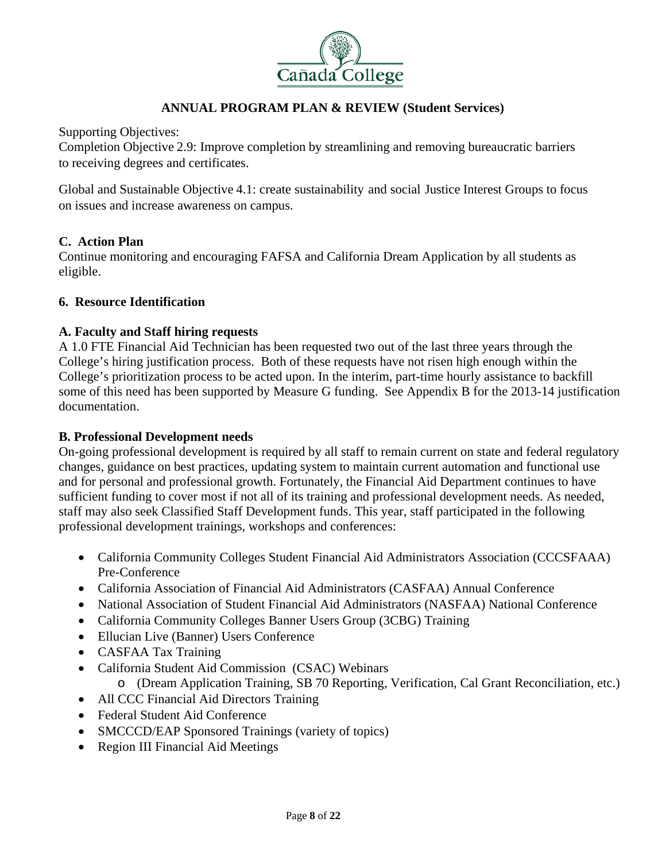

Supporting Objectives:

Completion Objective 2.9: Improve completion by streamlining and removing bureaucratic barriers to receiving degrees and certificates.

Global and Sustainable Objective 4.1: create sustainability and social Justice Interest Groups to focus on issues and increase awareness on campus.

## **C. Action Plan**

Continue monitoring and encouraging FAFSA and California Dream Application by all students as eligible.

## **6. Resource Identification**

## **A. Faculty and Staff hiring requests**

A 1.0 FTE Financial Aid Technician has been requested two out of the last three years through the College's hiring justification process. Both of these requests have not risen high enough within the College's prioritization process to be acted upon. In the interim, part-time hourly assistance to backfill some of this need has been supported by Measure G funding. See Appendix B for the 2013-14 justification documentation.

## **B. Professional Development needs**

On-going professional development is required by all staff to remain current on state and federal regulatory changes, guidance on best practices, updating system to maintain current automation and functional use and for personal and professional growth. Fortunately, the Financial Aid Department continues to have sufficient funding to cover most if not all of its training and professional development needs. As needed, staff may also seek Classified Staff Development funds. This year, staff participated in the following professional development trainings, workshops and conferences:

- California Community Colleges Student Financial Aid Administrators Association (CCCSFAAA) Pre-Conference
- California Association of Financial Aid Administrators (CASFAA) Annual Conference
- National Association of Student Financial Aid Administrators (NASFAA) National Conference
- California Community Colleges Banner Users Group (3CBG) Training
- Ellucian Live (Banner) Users Conference
- CASFAA Tax Training
- California Student Aid Commission (CSAC) Webinars
	- o (Dream Application Training, SB 70 Reporting, Verification, Cal Grant Reconciliation, etc.)
- All CCC Financial Aid Directors Training
- Federal Student Aid Conference
- SMCCCD/EAP Sponsored Trainings (variety of topics)
- Region III Financial Aid Meetings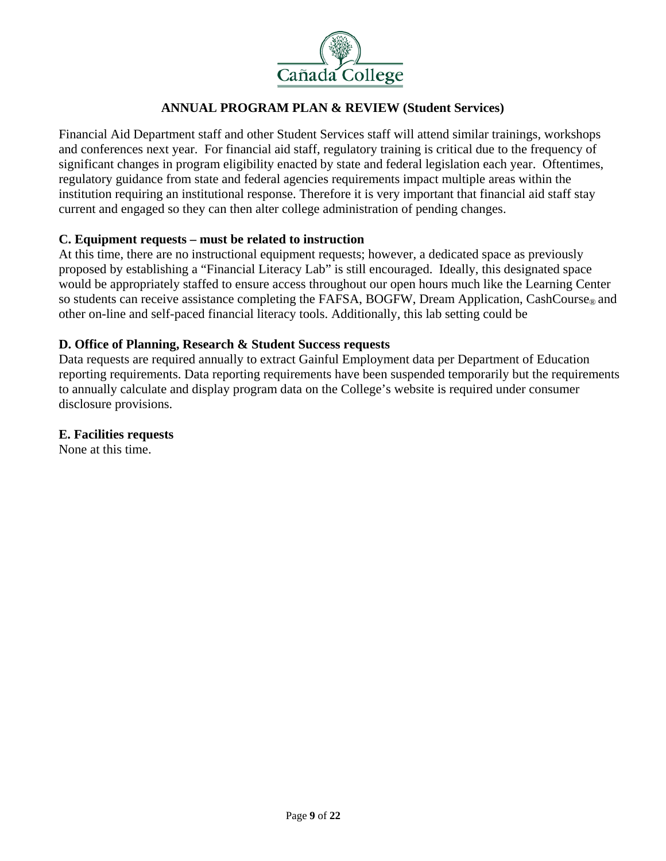

Financial Aid Department staff and other Student Services staff will attend similar trainings, workshops and conferences next year. For financial aid staff, regulatory training is critical due to the frequency of significant changes in program eligibility enacted by state and federal legislation each year. Oftentimes, regulatory guidance from state and federal agencies requirements impact multiple areas within the institution requiring an institutional response. Therefore it is very important that financial aid staff stay current and engaged so they can then alter college administration of pending changes.

#### **C. Equipment requests – must be related to instruction**

At this time, there are no instructional equipment requests; however, a dedicated space as previously proposed by establishing a "Financial Literacy Lab" is still encouraged. Ideally, this designated space would be appropriately staffed to ensure access throughout our open hours much like the Learning Center so students can receive assistance completing the FAFSA, BOGFW, Dream Application, CashCourse® and other on-line and self-paced financial literacy tools. Additionally, this lab setting could be

#### **D. Office of Planning, Research & Student Success requests**

Data requests are required annually to extract Gainful Employment data per Department of Education reporting requirements. Data reporting requirements have been suspended temporarily but the requirements to annually calculate and display program data on the College's website is required under consumer disclosure provisions.

#### **E. Facilities requests**

None at this time.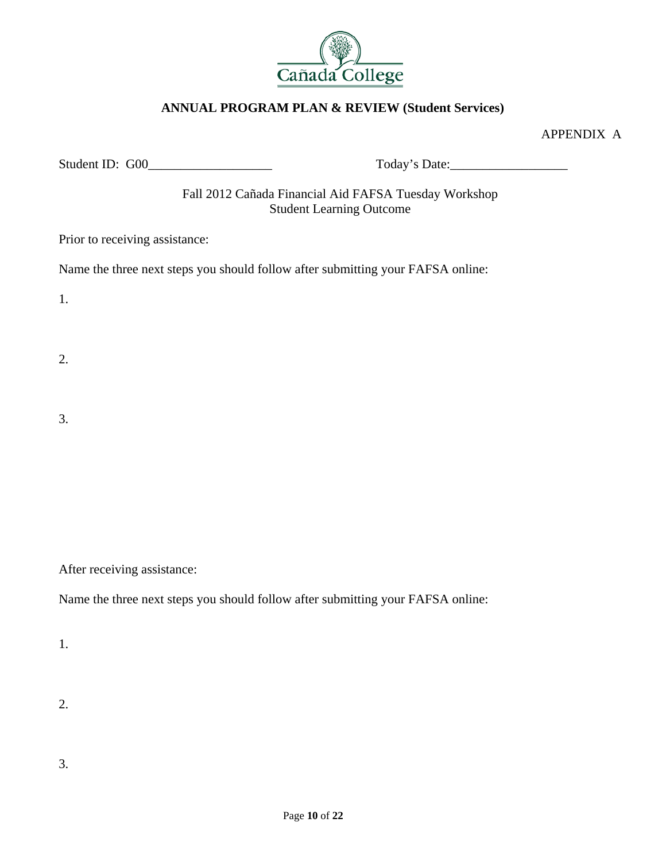

# APPENDIX A

| Student ID: G00 |  |
|-----------------|--|
|                 |  |

Student ID: G00\_\_\_\_\_\_\_\_\_\_\_\_\_\_\_\_\_\_\_ Today's Date:\_\_\_\_\_\_\_\_\_\_\_\_\_\_\_\_\_\_

Fall 2012 Cañada Financial Aid FAFSA Tuesday Workshop Student Learning Outcome

Prior to receiving assistance:

Name the three next steps you should follow after submitting your FAFSA online:

1.

2.

3.

After receiving assistance:

Name the three next steps you should follow after submitting your FAFSA online:

1.

2.

3.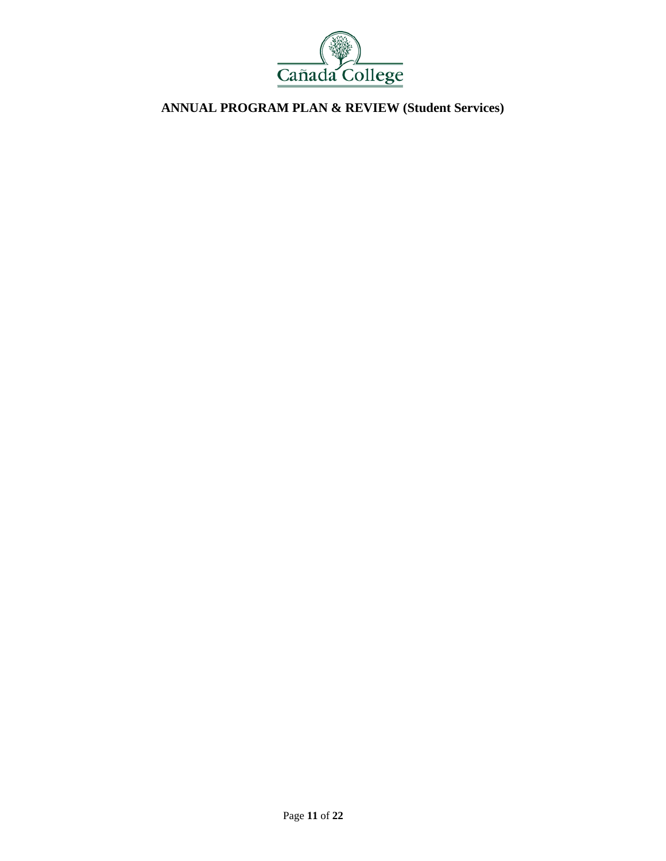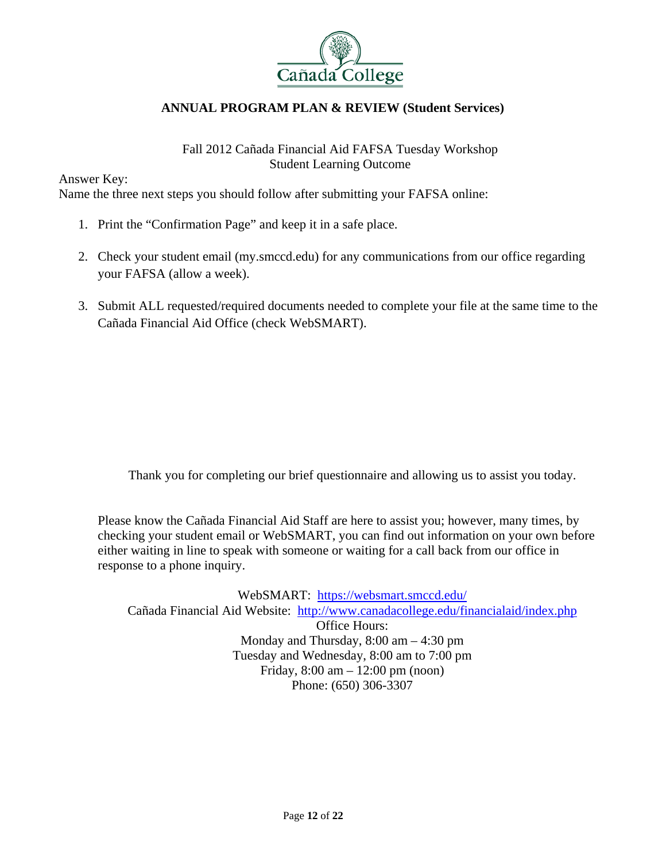

Fall 2012 Cañada Financial Aid FAFSA Tuesday Workshop Student Learning Outcome

Answer Key:

Name the three next steps you should follow after submitting your FAFSA online:

- 1. Print the "Confirmation Page" and keep it in a safe place.
- 2. Check your student email (my.smccd.edu) for any communications from our office regarding your FAFSA (allow a week).
- 3. Submit ALL requested/required documents needed to complete your file at the same time to the Cañada Financial Aid Office (check WebSMART).

Thank you for completing our brief questionnaire and allowing us to assist you today.

Please know the Cañada Financial Aid Staff are here to assist you; however, many times, by checking your student email or WebSMART, you can find out information on your own before either waiting in line to speak with someone or waiting for a call back from our office in response to a phone inquiry.

WebSMART: https://websmart.smccd.edu/ Cañada Financial Aid Website: http://www.canadacollege.edu/financialaid/index.php Office Hours: Monday and Thursday, 8:00 am – 4:30 pm Tuesday and Wednesday, 8:00 am to 7:00 pm Friday, 8:00 am – 12:00 pm (noon) Phone: (650) 306-3307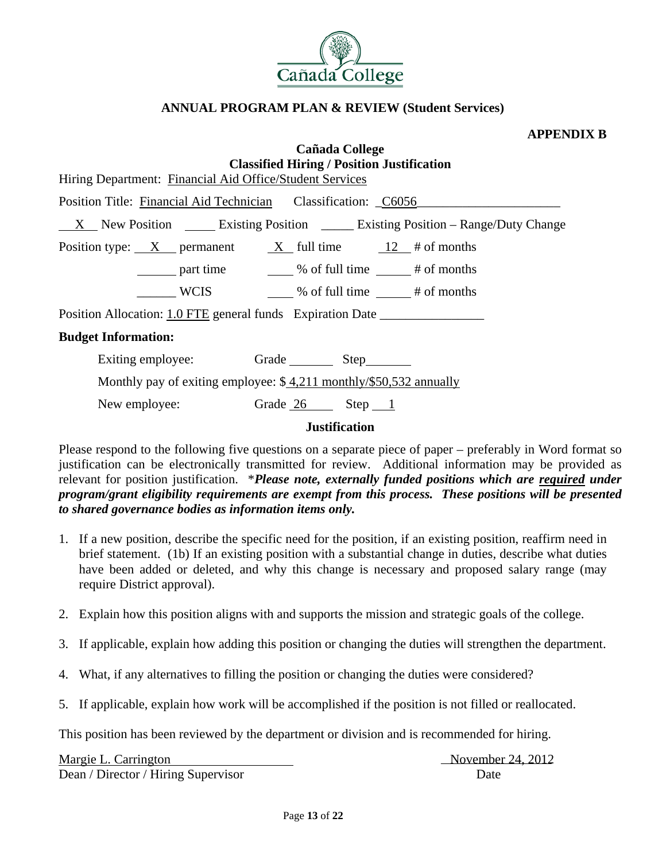

#### **APPENDIX B**

#### **Cañada College Classified Hiring / Position Justification**  Hiring Department: Financial Aid Office/Student Services

| Think Department. Thanelal The Onles blastic ber (1995) |                                       |
|---------------------------------------------------------|---------------------------------------|
| Position Title: Financial Aid Technician                | Classification: C6056                 |
| <b>Existing Position</b><br>X New Position              | Existing Position – Range/Duty Change |
| Position type: $\mathbf{X}$ permanent                   | 12 # of months<br>X full time         |

part time  $\frac{1}{\sqrt{1-\frac{1}{\sqrt{1-\frac{1}{\sqrt{1-\frac{1}{\sqrt{1-\frac{1}{\sqrt{1-\frac{1}{\sqrt{1-\frac{1}{\sqrt{1-\frac{1}{\sqrt{1-\frac{1}{\sqrt{1-\frac{1}{\sqrt{1-\frac{1}{\sqrt{1-\frac{1}{\sqrt{1-\frac{1}{\sqrt{1-\frac{1}{\sqrt{1-\frac{1}{\sqrt{1-\frac{1}{\sqrt{1-\frac{1}{\sqrt{1-\frac{1}{\sqrt{1-\frac{1}{\sqrt{1-\frac{1}{\sqrt{1-\frac{1}{\sqrt{1-\frac{1}{\sqrt{1-\frac{1}{\sqrt{1-\frac{1$ 

wCIS  $\frac{1}{2}$  % of full time  $\frac{1}{2}$  # of months

Position Allocation: 1.0 FTE general funds Expiration Date

#### **Budget Information:**

| Exiting employee: | Grade | <b>Step</b> |
|-------------------|-------|-------------|
|-------------------|-------|-------------|

Monthly pay of exiting employee: \$ 4,211 monthly/\$50,532 annually

New employee: Grade 26 Step 1

# **Justification**

Please respond to the following five questions on a separate piece of paper – preferably in Word format so justification can be electronically transmitted for review. Additional information may be provided as relevant for position justification. \**Please note, externally funded positions which are required under program/grant eligibility requirements are exempt from this process. These positions will be presented to shared governance bodies as information items only.* 

- 1. If a new position, describe the specific need for the position, if an existing position, reaffirm need in brief statement. (1b) If an existing position with a substantial change in duties, describe what duties have been added or deleted, and why this change is necessary and proposed salary range (may require District approval).
- 2. Explain how this position aligns with and supports the mission and strategic goals of the college.
- 3. If applicable, explain how adding this position or changing the duties will strengthen the department.
- 4. What, if any alternatives to filling the position or changing the duties were considered?
- 5. If applicable, explain how work will be accomplished if the position is not filled or reallocated.

This position has been reviewed by the department or division and is recommended for hiring.

Margie L. Carrington November 24, 2012 Dean / Director / Hiring Supervisor Date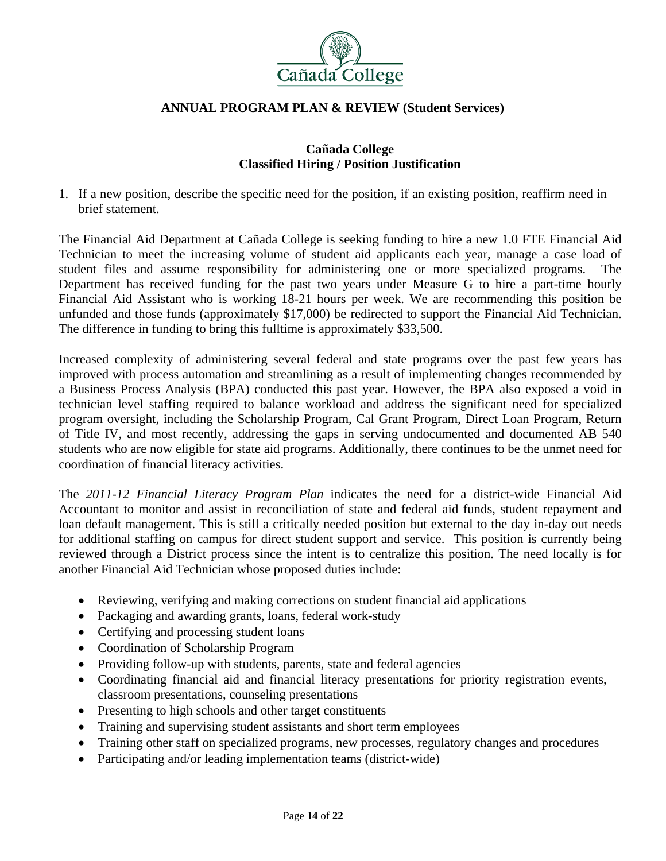

# **Cañada College Classified Hiring / Position Justification**

1. If a new position, describe the specific need for the position, if an existing position, reaffirm need in brief statement.

The Financial Aid Department at Cañada College is seeking funding to hire a new 1.0 FTE Financial Aid Technician to meet the increasing volume of student aid applicants each year, manage a case load of student files and assume responsibility for administering one or more specialized programs. The Department has received funding for the past two years under Measure G to hire a part-time hourly Financial Aid Assistant who is working 18-21 hours per week. We are recommending this position be unfunded and those funds (approximately \$17,000) be redirected to support the Financial Aid Technician. The difference in funding to bring this fulltime is approximately \$33,500.

Increased complexity of administering several federal and state programs over the past few years has improved with process automation and streamlining as a result of implementing changes recommended by a Business Process Analysis (BPA) conducted this past year. However, the BPA also exposed a void in technician level staffing required to balance workload and address the significant need for specialized program oversight, including the Scholarship Program, Cal Grant Program, Direct Loan Program, Return of Title IV, and most recently, addressing the gaps in serving undocumented and documented AB 540 students who are now eligible for state aid programs. Additionally, there continues to be the unmet need for coordination of financial literacy activities.

The *2011-12 Financial Literacy Program Plan* indicates the need for a district-wide Financial Aid Accountant to monitor and assist in reconciliation of state and federal aid funds, student repayment and loan default management. This is still a critically needed position but external to the day in-day out needs for additional staffing on campus for direct student support and service. This position is currently being reviewed through a District process since the intent is to centralize this position. The need locally is for another Financial Aid Technician whose proposed duties include:

- Reviewing, verifying and making corrections on student financial aid applications
- Packaging and awarding grants, loans, federal work-study
- Certifying and processing student loans
- Coordination of Scholarship Program
- Providing follow-up with students, parents, state and federal agencies
- Coordinating financial aid and financial literacy presentations for priority registration events, classroom presentations, counseling presentations
- Presenting to high schools and other target constituents
- Training and supervising student assistants and short term employees
- Training other staff on specialized programs, new processes, regulatory changes and procedures
- Participating and/or leading implementation teams (district-wide)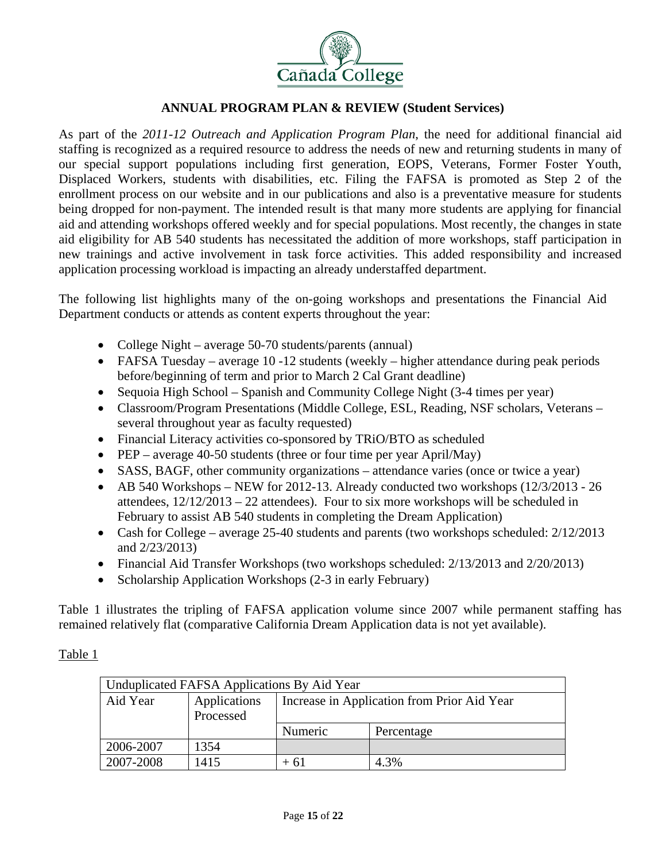

As part of the *2011-12 Outreach and Application Program Plan*, the need for additional financial aid staffing is recognized as a required resource to address the needs of new and returning students in many of our special support populations including first generation, EOPS, Veterans, Former Foster Youth, Displaced Workers, students with disabilities, etc. Filing the FAFSA is promoted as Step 2 of the enrollment process on our website and in our publications and also is a preventative measure for students being dropped for non-payment. The intended result is that many more students are applying for financial aid and attending workshops offered weekly and for special populations. Most recently, the changes in state aid eligibility for AB 540 students has necessitated the addition of more workshops, staff participation in new trainings and active involvement in task force activities. This added responsibility and increased application processing workload is impacting an already understaffed department.

The following list highlights many of the on-going workshops and presentations the Financial Aid Department conducts or attends as content experts throughout the year:

- College Night average 50-70 students/parents (annual)
- FAFSA Tuesday average 10 -12 students (weekly higher attendance during peak periods before/beginning of term and prior to March 2 Cal Grant deadline)
- Sequoia High School Spanish and Community College Night (3-4 times per year)
- Classroom/Program Presentations (Middle College, ESL, Reading, NSF scholars, Veterans several throughout year as faculty requested)
- Financial Literacy activities co-sponsored by TRiO/BTO as scheduled
- PEP average 40-50 students (three or four time per year April/May)
- SASS, BAGF, other community organizations attendance varies (once or twice a year)
- $\bullet$  AB 540 Workshops NEW for 2012-13. Already conducted two workshops  $(12/3/2013 26$ attendees, 12/12/2013 – 22 attendees). Four to six more workshops will be scheduled in February to assist AB 540 students in completing the Dream Application)
- Cash for College average 25-40 students and parents (two workshops scheduled: 2/12/2013 and 2/23/2013)
- Financial Aid Transfer Workshops (two workshops scheduled:  $2/13/2013$  and  $2/20/2013$ )
- Scholarship Application Workshops (2-3 in early February)

Table 1 illustrates the tripling of FAFSA application volume since 2007 while permanent staffing has remained relatively flat (comparative California Dream Application data is not yet available).

## Table 1

| Unduplicated FAFSA Applications By Aid Year |              |                                             |      |  |  |  |  |
|---------------------------------------------|--------------|---------------------------------------------|------|--|--|--|--|
| Aid Year                                    | Applications | Increase in Application from Prior Aid Year |      |  |  |  |  |
|                                             | Processed    |                                             |      |  |  |  |  |
|                                             |              | Numeric<br>Percentage                       |      |  |  |  |  |
| 2006-2007                                   | 1354         |                                             |      |  |  |  |  |
| 2007-2008                                   | 1415         | $+61$                                       | 4.3% |  |  |  |  |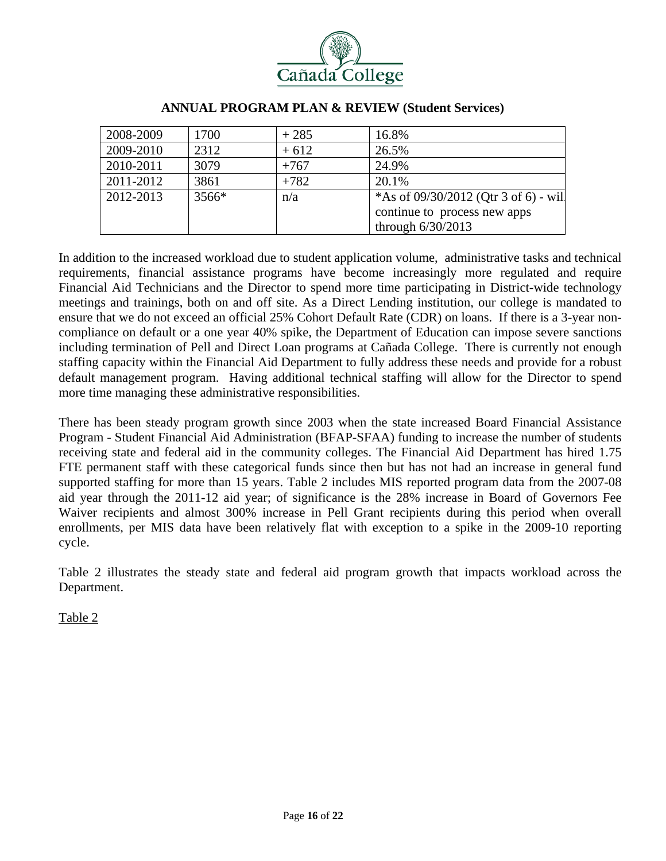

| 2008-2009 | 1700  | $+285$ | 16.8%                                   |
|-----------|-------|--------|-----------------------------------------|
| 2009-2010 | 2312  | $+612$ | 26.5%                                   |
| 2010-2011 | 3079  | $+767$ | 24.9%                                   |
| 2011-2012 | 3861  | $+782$ | 20.1%                                   |
| 2012-2013 | 3566* | n/a    | *As of $09/30/2012$ (Qtr 3 of 6) - will |
|           |       |        | continue to process new apps            |
|           |       |        | through $6/30/2013$                     |

In addition to the increased workload due to student application volume, administrative tasks and technical requirements, financial assistance programs have become increasingly more regulated and require Financial Aid Technicians and the Director to spend more time participating in District-wide technology meetings and trainings, both on and off site. As a Direct Lending institution, our college is mandated to ensure that we do not exceed an official 25% Cohort Default Rate (CDR) on loans. If there is a 3-year noncompliance on default or a one year 40% spike, the Department of Education can impose severe sanctions including termination of Pell and Direct Loan programs at Cañada College. There is currently not enough staffing capacity within the Financial Aid Department to fully address these needs and provide for a robust default management program. Having additional technical staffing will allow for the Director to spend more time managing these administrative responsibilities.

There has been steady program growth since 2003 when the state increased Board Financial Assistance Program - Student Financial Aid Administration (BFAP-SFAA) funding to increase the number of students receiving state and federal aid in the community colleges. The Financial Aid Department has hired 1.75 FTE permanent staff with these categorical funds since then but has not had an increase in general fund supported staffing for more than 15 years. Table 2 includes MIS reported program data from the 2007-08 aid year through the 2011-12 aid year; of significance is the 28% increase in Board of Governors Fee Waiver recipients and almost 300% increase in Pell Grant recipients during this period when overall enrollments, per MIS data have been relatively flat with exception to a spike in the 2009-10 reporting cycle.

Table 2 illustrates the steady state and federal aid program growth that impacts workload across the Department.

Table 2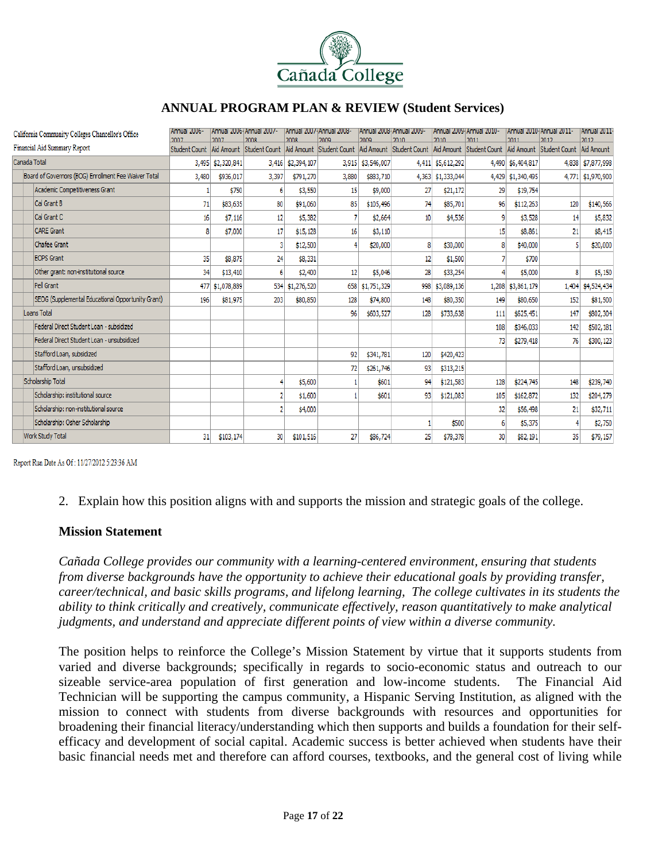

|              | California Community Colleges Chancellor's Office    | Annual 2006-<br>2007 | 2007        | Annual 2006 Annual 2007-<br>2008 | 2008              | Annual 2007 Annual 2008-<br>2009 | 2009              | Annual 2008-Annual 2009-<br>2010 | 2010              | Annual 2009 Annual 2010-<br>2011 | 2011              | Annual 2010 Annual 2011-<br>2012 | Annual 2011<br>2012 |
|--------------|------------------------------------------------------|----------------------|-------------|----------------------------------|-------------------|----------------------------------|-------------------|----------------------------------|-------------------|----------------------------------|-------------------|----------------------------------|---------------------|
|              | Financial Aid Summary Report                         | Student Count        |             | Aid Amount Student Count         | Aid Amount        | Student Count                    |                   | Aid Amount Student Count         |                   | Aid Amount Student Count         | Aid Amount        | Student Count                    | Aid Amount          |
| Canada Total |                                                      | 3,495                | \$2,320,841 |                                  | 3,416 \$2,394,107 |                                  | 3,915 \$3,546,007 |                                  | 4,411 \$5,612,292 |                                  | 4,490 \$6,404,817 |                                  | 4,838 \$7,877,998   |
|              | Board of Governors (BOG) Enrollment Fee Waiver Total | 3,480                | \$936,017   | 3,397                            | \$791,270         | 3,880                            | \$883,710         |                                  | 4,363 \$1,333,044 | 4,429                            | \$1,340,495       |                                  | 4,771 \$1,970,900   |
|              | Academic Competitiveness Grant                       |                      | \$750       | 6                                | \$3,550           | 15                               | \$9,000           | 27                               | \$21,172          | 29                               | \$19,754          |                                  |                     |
|              | Cal Grant B                                          | 71                   | \$83,635    | 80                               | \$91,060          | 85                               | \$105,496         | 74                               | \$85,701          | 96                               | \$112,263         | 120                              | \$140,566           |
|              | Cal Grant C                                          | 16                   | \$7,116     | 12                               | \$5,382           | $\overline{7}$                   | \$2,664           | 10                               | \$4,536           | ٥                                | \$3,528           | 14                               | \$5,832             |
|              | <b>CARE Grant</b>                                    | 8                    | \$7,000     | 17                               | \$15,128          | 16                               | \$3,110           |                                  |                   | 15                               | \$8,861           | 21                               | \$8,415             |
|              | <b>Chafee Grant</b>                                  |                      |             | 3                                | \$12,500          | 4                                | \$20,000          | 8                                | \$30,000          |                                  | \$40,000          | 5                                | \$20,000            |
|              | <b>EOPS Grant</b>                                    | 35                   | \$8,875     | 24                               | \$8,331           |                                  |                   | 12                               | \$1,500           |                                  | \$700             |                                  |                     |
|              | Other grant: non-institutional source                | 34                   | \$13,410    | 6                                | \$2,400           | 12                               | \$5,046           | 28                               | \$33,254          |                                  | \$5,000           | 8                                | \$5,150             |
|              | Pell Grant                                           | 477                  | \$1,078,889 |                                  | 534 \$1,276,520   |                                  | 658 \$1,751,329   | 998                              | \$3,089,136       | 1,208                            | \$3,861,179       |                                  | 1,404 \$4,524,434   |
|              | SEOG (Supplemental Educational Opportunity Grant)    | 196                  | \$81,975    | 203                              | \$80,850          | 128                              | \$74,800          | 148                              | \$80,350          | 149                              | \$80,650          | 152                              | \$81,500            |
|              | Loans Total                                          |                      |             |                                  |                   | 96                               | \$603,527         | 128                              | \$733,638         | 111                              | \$625,451         | 147                              | \$802,304           |
|              | Federal Direct Student Loan - subsidized             |                      |             |                                  |                   |                                  |                   |                                  |                   | 108                              | \$346,033         | 142                              | \$502,181           |
|              | Federal Direct Student Loan - unsubsidized           |                      |             |                                  |                   |                                  |                   |                                  |                   | 73                               | \$279,418         | 76                               | \$300,123           |
|              | Stafford Loan, subsidized                            |                      |             |                                  |                   | 92                               | \$341,781         | 120                              | \$420,423         |                                  |                   |                                  |                     |
|              | Stafford Loan, unsubsidized                          |                      |             |                                  |                   | 72                               | \$261,746         | 93                               | \$313,215         |                                  |                   |                                  |                     |
|              | Scholarship Total                                    |                      |             |                                  | \$5,600           |                                  | \$601             | 94                               | \$121,583         | 128                              | \$224,745         | 148                              | \$239,740           |
|              | Scholarship: institutional source                    |                      |             |                                  | \$1,600           |                                  | \$601             | 93                               | \$121,083         | 105                              | \$162,872         | 132                              | \$204,279           |
|              | Scholarship: non-institutional source                |                      |             |                                  | \$4,000           |                                  |                   |                                  |                   | 32                               | \$56,498          | 21                               | \$32,711            |
|              | Scholarship: Osher Scholarship                       |                      |             |                                  |                   |                                  |                   |                                  | \$500             | 6                                | \$5,375           | 4                                | \$2,750             |
|              | Work Study Total                                     | 31                   | \$103,174   | 30                               | \$101,516         | 27                               | \$86,724          | 25                               | \$78,378          | 30                               | \$82,191          | 35                               | \$79,157            |

Report Run Date As Of: 11/27/2012 5:23:36 AM

2. Explain how this position aligns with and supports the mission and strategic goals of the college.

#### **Mission Statement**

*Cañada College provides our community with a learning-centered environment, ensuring that students from diverse backgrounds have the opportunity to achieve their educational goals by providing transfer, career/technical, and basic skills programs, and lifelong learning, The college cultivates in its students the ability to think critically and creatively, communicate effectively, reason quantitatively to make analytical judgments, and understand and appreciate different points of view within a diverse community.* 

The position helps to reinforce the College's Mission Statement by virtue that it supports students from varied and diverse backgrounds; specifically in regards to socio-economic status and outreach to our sizeable service-area population of first generation and low-income students. The Financial Aid Technician will be supporting the campus community, a Hispanic Serving Institution, as aligned with the mission to connect with students from diverse backgrounds with resources and opportunities for broadening their financial literacy/understanding which then supports and builds a foundation for their selfefficacy and development of social capital. Academic success is better achieved when students have their basic financial needs met and therefore can afford courses, textbooks, and the general cost of living while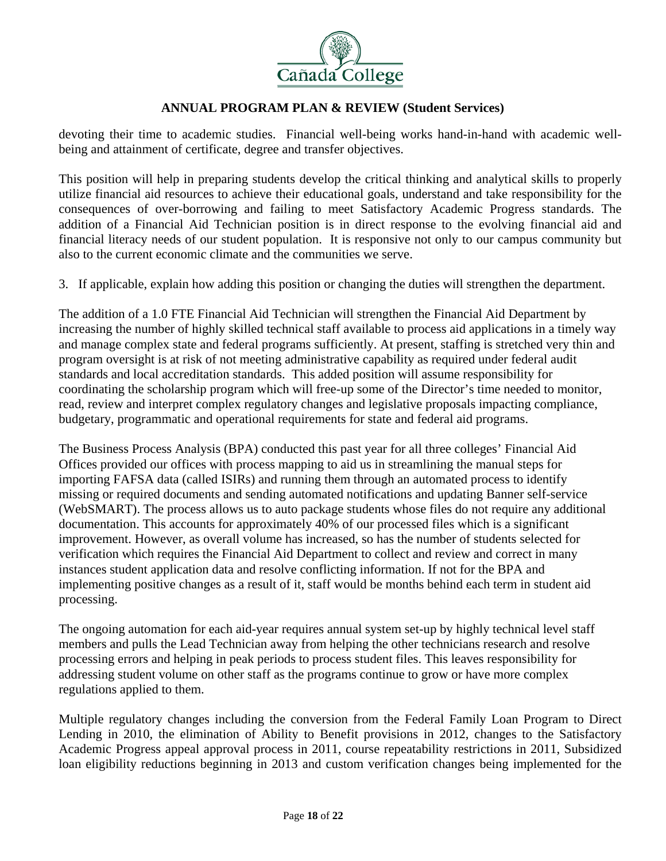

devoting their time to academic studies. Financial well-being works hand-in-hand with academic wellbeing and attainment of certificate, degree and transfer objectives.

This position will help in preparing students develop the critical thinking and analytical skills to properly utilize financial aid resources to achieve their educational goals, understand and take responsibility for the consequences of over-borrowing and failing to meet Satisfactory Academic Progress standards. The addition of a Financial Aid Technician position is in direct response to the evolving financial aid and financial literacy needs of our student population. It is responsive not only to our campus community but also to the current economic climate and the communities we serve.

3. If applicable, explain how adding this position or changing the duties will strengthen the department.

The addition of a 1.0 FTE Financial Aid Technician will strengthen the Financial Aid Department by increasing the number of highly skilled technical staff available to process aid applications in a timely way and manage complex state and federal programs sufficiently. At present, staffing is stretched very thin and program oversight is at risk of not meeting administrative capability as required under federal audit standards and local accreditation standards. This added position will assume responsibility for coordinating the scholarship program which will free-up some of the Director's time needed to monitor, read, review and interpret complex regulatory changes and legislative proposals impacting compliance, budgetary, programmatic and operational requirements for state and federal aid programs.

The Business Process Analysis (BPA) conducted this past year for all three colleges' Financial Aid Offices provided our offices with process mapping to aid us in streamlining the manual steps for importing FAFSA data (called ISIRs) and running them through an automated process to identify missing or required documents and sending automated notifications and updating Banner self-service (WebSMART). The process allows us to auto package students whose files do not require any additional documentation. This accounts for approximately 40% of our processed files which is a significant improvement. However, as overall volume has increased, so has the number of students selected for verification which requires the Financial Aid Department to collect and review and correct in many instances student application data and resolve conflicting information. If not for the BPA and implementing positive changes as a result of it, staff would be months behind each term in student aid processing.

The ongoing automation for each aid-year requires annual system set-up by highly technical level staff members and pulls the Lead Technician away from helping the other technicians research and resolve processing errors and helping in peak periods to process student files. This leaves responsibility for addressing student volume on other staff as the programs continue to grow or have more complex regulations applied to them.

Multiple regulatory changes including the conversion from the Federal Family Loan Program to Direct Lending in 2010, the elimination of Ability to Benefit provisions in 2012, changes to the Satisfactory Academic Progress appeal approval process in 2011, course repeatability restrictions in 2011, Subsidized loan eligibility reductions beginning in 2013 and custom verification changes being implemented for the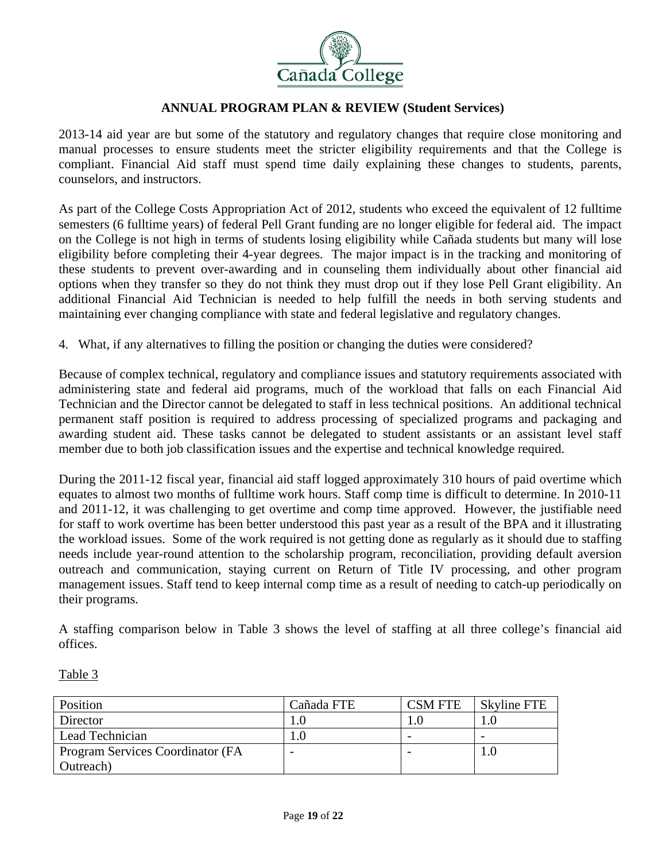

2013-14 aid year are but some of the statutory and regulatory changes that require close monitoring and manual processes to ensure students meet the stricter eligibility requirements and that the College is compliant. Financial Aid staff must spend time daily explaining these changes to students, parents, counselors, and instructors.

As part of the College Costs Appropriation Act of 2012, students who exceed the equivalent of 12 fulltime semesters (6 fulltime years) of federal Pell Grant funding are no longer eligible for federal aid. The impact on the College is not high in terms of students losing eligibility while Cañada students but many will lose eligibility before completing their 4-year degrees. The major impact is in the tracking and monitoring of these students to prevent over-awarding and in counseling them individually about other financial aid options when they transfer so they do not think they must drop out if they lose Pell Grant eligibility. An additional Financial Aid Technician is needed to help fulfill the needs in both serving students and maintaining ever changing compliance with state and federal legislative and regulatory changes.

4. What, if any alternatives to filling the position or changing the duties were considered?

Because of complex technical, regulatory and compliance issues and statutory requirements associated with administering state and federal aid programs, much of the workload that falls on each Financial Aid Technician and the Director cannot be delegated to staff in less technical positions. An additional technical permanent staff position is required to address processing of specialized programs and packaging and awarding student aid. These tasks cannot be delegated to student assistants or an assistant level staff member due to both job classification issues and the expertise and technical knowledge required.

During the 2011-12 fiscal year, financial aid staff logged approximately 310 hours of paid overtime which equates to almost two months of fulltime work hours. Staff comp time is difficult to determine. In 2010-11 and 2011-12, it was challenging to get overtime and comp time approved. However, the justifiable need for staff to work overtime has been better understood this past year as a result of the BPA and it illustrating the workload issues. Some of the work required is not getting done as regularly as it should due to staffing needs include year-round attention to the scholarship program, reconciliation, providing default aversion outreach and communication, staying current on Return of Title IV processing, and other program management issues. Staff tend to keep internal comp time as a result of needing to catch-up periodically on their programs.

A staffing comparison below in Table 3 shows the level of staffing at all three college's financial aid offices.

| Position                         | Cañada FTE | <b>CSM FTE</b> | <b>Skyline FTE</b> |
|----------------------------------|------------|----------------|--------------------|
| Director                         | 0.1        |                |                    |
| Lead Technician                  | 0.1        |                |                    |
| Program Services Coordinator (FA |            |                | 1.0                |
| Outreach)                        |            |                |                    |

Table 3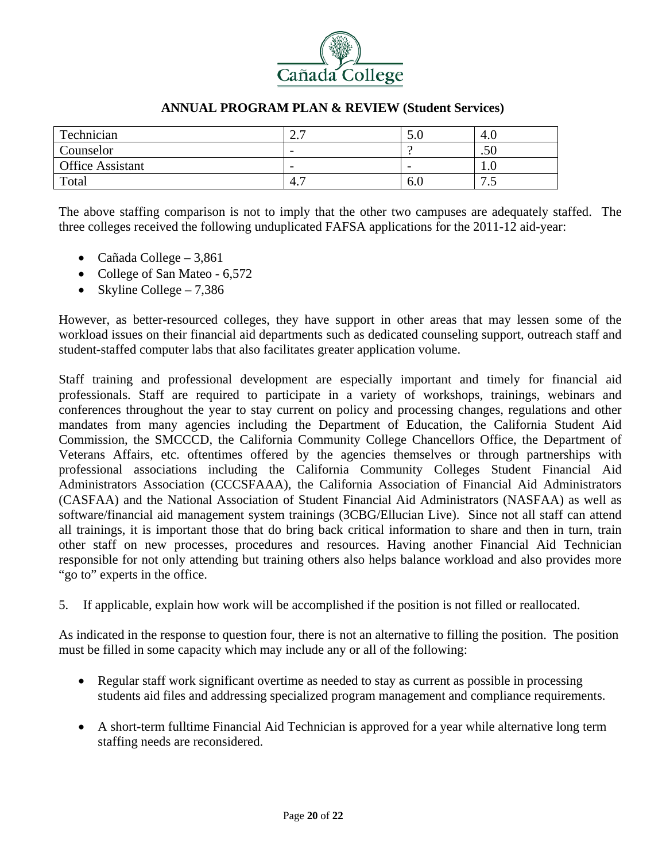

| Technician              | $\sim$ $\sim$<br>، ،     | J.U | -4.U     |
|-------------------------|--------------------------|-----|----------|
| Counselor               | $\overline{\phantom{0}}$ |     | .50      |
| <b>Office Assistant</b> | -                        | -   | 1.V      |
| Total                   | −<br>4.1                 | 0.0 | −<br>ن ا |

The above staffing comparison is not to imply that the other two campuses are adequately staffed. The three colleges received the following unduplicated FAFSA applications for the 2011-12 aid-year:

- Cañada College 3,861
- College of San Mateo 6,572
- Skyline College  $-7,386$

However, as better-resourced colleges, they have support in other areas that may lessen some of the workload issues on their financial aid departments such as dedicated counseling support, outreach staff and student-staffed computer labs that also facilitates greater application volume.

Staff training and professional development are especially important and timely for financial aid professionals. Staff are required to participate in a variety of workshops, trainings, webinars and conferences throughout the year to stay current on policy and processing changes, regulations and other mandates from many agencies including the Department of Education, the California Student Aid Commission, the SMCCCD, the California Community College Chancellors Office, the Department of Veterans Affairs, etc. oftentimes offered by the agencies themselves or through partnerships with professional associations including the California Community Colleges Student Financial Aid Administrators Association (CCCSFAAA), the California Association of Financial Aid Administrators (CASFAA) and the National Association of Student Financial Aid Administrators (NASFAA) as well as software/financial aid management system trainings (3CBG/Ellucian Live). Since not all staff can attend all trainings, it is important those that do bring back critical information to share and then in turn, train other staff on new processes, procedures and resources. Having another Financial Aid Technician responsible for not only attending but training others also helps balance workload and also provides more "go to" experts in the office.

5. If applicable, explain how work will be accomplished if the position is not filled or reallocated.

As indicated in the response to question four, there is not an alternative to filling the position. The position must be filled in some capacity which may include any or all of the following:

- Regular staff work significant overtime as needed to stay as current as possible in processing students aid files and addressing specialized program management and compliance requirements.
- A short-term fulltime Financial Aid Technician is approved for a year while alternative long term staffing needs are reconsidered.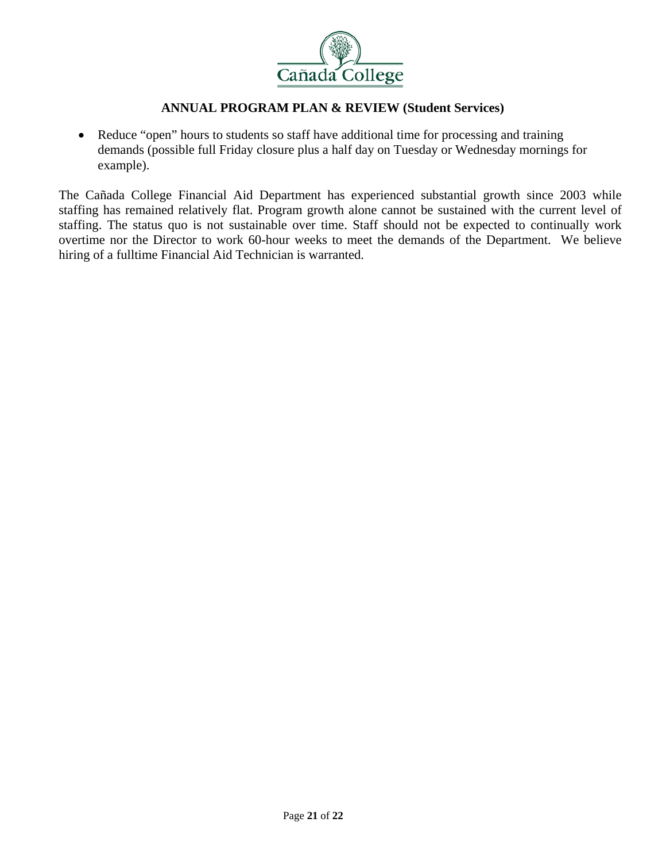

• Reduce "open" hours to students so staff have additional time for processing and training demands (possible full Friday closure plus a half day on Tuesday or Wednesday mornings for example).

The Cañada College Financial Aid Department has experienced substantial growth since 2003 while staffing has remained relatively flat. Program growth alone cannot be sustained with the current level of staffing. The status quo is not sustainable over time. Staff should not be expected to continually work overtime nor the Director to work 60-hour weeks to meet the demands of the Department. We believe hiring of a fulltime Financial Aid Technician is warranted.